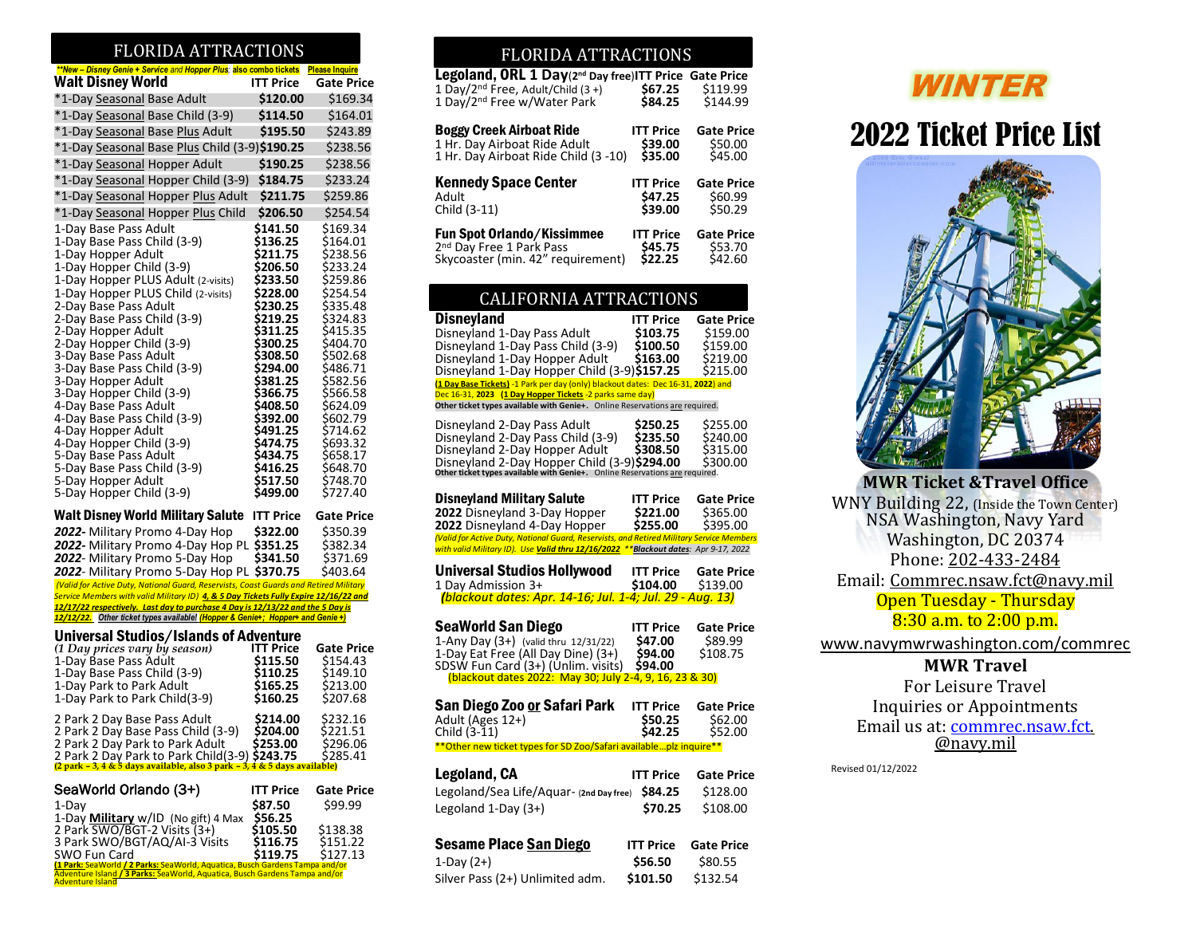### FLORIDA ATTRACTI

| **New - Disney Genie + Service and Hopper Plus; also combo tickets                                                                                              |                      | <b>Please Inquire</b> |
|-----------------------------------------------------------------------------------------------------------------------------------------------------------------|----------------------|-----------------------|
| <b>Walt Disney World</b>                                                                                                                                        | <b>ITT Price</b>     | <b>Gate Price</b>     |
| *1-Day Seasonal Base Adult                                                                                                                                      | \$120.00             | \$169.34              |
| *1-Day Seasonal Base Child (3-9)                                                                                                                                | \$114.50             | \$164.01              |
| *1-Day Seasonal Base Plus Adult                                                                                                                                 | \$195.50             | \$243.89              |
| *1-Day Seasonal Base Plus Child (3-9)\$190.25                                                                                                                   |                      | \$238.56              |
| *1-Day Seasonal Hopper Adult                                                                                                                                    | \$190.25             | \$238.56              |
| *1-Day Seasonal Hopper Child (3-9)                                                                                                                              | \$184.75             | \$233.24              |
| *1-Day Seasonal Hopper Plus Adult                                                                                                                               | \$211.75             | \$259.86              |
| *1-Day Seasonal Hopper Plus Child                                                                                                                               | \$206.50             | \$254.54              |
| 1-Day Base Pass Adult                                                                                                                                           | \$141.50             | \$169.34              |
| 1-Day Base Pass Child (3-9)                                                                                                                                     | \$136.25             | \$164.01              |
| 1-Day Hopper Adult                                                                                                                                              | \$211.75             | \$238.56              |
| 1-Day Hopper Child (3-9)                                                                                                                                        | \$206.50             | \$233.24              |
| 1-Day Hopper PLUS Adult (2-visits)<br>1-Day Hopper PLUS Child (2-visits)                                                                                        | \$233.50<br>\$228.00 | \$259.86<br>\$254.54  |
| 2-Day Base Pass Adult                                                                                                                                           | \$230.25             | \$335.48              |
| 2-Day Base Pass Child (3-9)                                                                                                                                     | \$219.25             | \$324.83              |
| 2-Day Hopper Adult                                                                                                                                              | \$311.25             | \$415.35              |
| 2-Day Hopper Child (3-9)                                                                                                                                        | \$300.25<br>\$308.50 | \$404.70              |
| 3-Day Base Pass Adult<br>3-Day Base Pass Child (3-9)                                                                                                            | \$294.00             | \$502.68<br>\$486.71  |
| 3-Day Hopper Adult                                                                                                                                              | \$381.25             | \$582.56              |
| 3-Day Hopper Child (3-9)                                                                                                                                        | \$366.75             | \$566.58              |
| 4-Day Base Pass Adult                                                                                                                                           | \$408.50             | \$624.09              |
| 4-Day Base Pass Child (3-9)<br>4-Day Hopper Adult                                                                                                               | \$392.00<br>\$491.25 | \$602.79<br>\$714.62  |
| 4-Day Hopper Child (3-9)                                                                                                                                        | \$474.75             | \$693.32              |
| 5-Day Base Pass Adult                                                                                                                                           | \$434.75             | \$658.17              |
| 5-Day Base Pass Child (3-9)                                                                                                                                     | \$416.25             | \$648.70              |
| 5-Day Hopper Adult<br>5-Day Hopper Child (3-9)                                                                                                                  | \$517.50<br>\$499.00 | \$748.70<br>\$727.40  |
|                                                                                                                                                                 |                      |                       |
| Walt Disney World Military Salute                                                                                                                               | <b>ITT Price</b>     | <b>Gate Price</b>     |
| 2022- Military Promo 4-Day Hop                                                                                                                                  | \$322.00             | \$350.39              |
| 2022- Military Promo 4-Day Hop PL \$351.25                                                                                                                      |                      | \$382.34              |
| 2022- Military Promo 5-Day Hop<br>2022- Military Promo 5-Day Hop PL \$370.75                                                                                    | \$341.50             | \$371.69<br>\$403.64  |
| (Valid for Active Duty, National Guard, Reservists, Coast Guards and Retired Military                                                                           |                      |                       |
| Service Members with valid Military ID) 4, & 5 Day Tickets Fully Expire 12/16/22 and                                                                            |                      |                       |
| 12/17/22 respectively. Last day to purchase 4 Day is 12/13/22 and the 5 Day is<br>12/12/22. Other ticket types available! Hopper & Genie+; Hopper+ and Genie +) |                      |                       |
| Universal Studios/Islands of Adventure                                                                                                                          |                      |                       |
| (1 Day prices vary by season)                                                                                                                                   | ITT Price            | <b>Gate Price</b>     |
| 1-Day Base Pass Adult                                                                                                                                           | \$115.50             | \$154.43              |
| 1-Day Base Pass Child (3-9)<br>1-Day Park to Park Adult                                                                                                         | \$110.25             | \$149.10<br>\$213.00  |
| 1-Day Park to Park Child(3-9)                                                                                                                                   | \$165.25<br>\$160.25 | \$207.68              |
|                                                                                                                                                                 |                      |                       |
| 2 Park 2 Day Base Pass Adult<br>2 Park 2 Day Base Pass Child (3-9)                                                                                              | \$214.00<br>\$204.00 | \$232.16<br>\$221.51  |
| 2 Park 2 Day Park to Park Adult                                                                                                                                 | \$253.00             | \$296.06              |
| 2 Park 2 Day Park to Park Child(3-9) <b>\$243.75</b> \$28<br>(2 park - 3,4 & 5 days available, also 3 park - 3,4 & 5 days available)                            |                      | \$285.41              |
|                                                                                                                                                                 |                      |                       |
| SeaWorld Orlando (3+)                                                                                                                                           | ITT Price            | <b>Gate Price</b>     |
| 1-Day                                                                                                                                                           | S87.50               | \$99.99               |
| 1-Day <b>Military</b> w/ID (No gift) 4 Max                                                                                                                      | \$56.25              |                       |
| 2 Park SWO/BGT-2 Visits (3+)<br>3 Park SWO/BGT/AQ/AI-3 Visits                                                                                                   | \$105.50<br>\$116.75 | \$138.38<br>\$151.22  |
| SWO Fun Card                                                                                                                                                    | \$119.75             | \$127.13              |

\$119.75 \$127.13 \$\$<br><mark>(1 Park: SeaWorld / 2 Parks: SeaWorld, Aquatica, Busch Gardens Tampa and/or</mark><br>Adventure Island <mark>/ 3 Parks: S</mark>eaWorld, Aquatica, Busch Gardens Tampa and/or<br>Adventure Island<br>Adventure Island  $\overline{a}$ 

### FLORIDA ATTRACTIONS FLORIDA ATTRACTIONS

| Legoland, ORL 1 Day(2 <sup>nd</sup> Day free)ITT Price Gate Price<br>1 Day/2 <sup>nd</sup> Free, Adult/Child (3+)<br>1 Day/2 <sup>nd</sup> Free w/Water Park | \$67.25<br>\$84.25 | \$119.99<br>\$144.99 |
|--------------------------------------------------------------------------------------------------------------------------------------------------------------|--------------------|----------------------|
| Boggy Creek Airboat Ride                                                                                                                                     | <b>ITT Price</b>   | <b>Gate Price</b>    |
| 1 Hr. Day Airboat Ride Adult                                                                                                                                 | \$39.00            | \$50.00              |
| 1 Hr. Day Airboat Ride Child (3 -10)                                                                                                                         | \$35.00            | \$45.00              |
| Kennedy Space Center                                                                                                                                         | <b>ITT Price</b>   | <b>Gate Price</b>    |
| Adult                                                                                                                                                        | \$47.25            | \$60.99              |
| Child (3-11)                                                                                                                                                 | \$39.00            | \$50.29              |
| Fun Spot Orlando/Kissimmee                                                                                                                                   | <b>ITT Price</b>   | <b>Gate Price</b>    |
| 2 <sup>nd</sup> Day Free 1 Park Pass                                                                                                                         | \$45.75            | \$53.70              |

### CALIFORNIA ATTRACTIONS

| <b>Disneyland</b><br>Disneyland 1-Day Pass Adult<br>Disneyland 1-Day Pass Child (3-9)<br>Disneyland 1-Day Hopper Adult<br>Disneyland 1-Day Hopper Child (3-9)\$157.25<br>(1 Day Base Tickets) -1 Park per day (only) blackout dates: Dec 16-31, 2022) and<br>Dec 16-31, 2023 (1 Day Hopper Tickets -2 parks same day) | <b>ITT Price</b><br>\$103.75<br>\$100.50<br>\$163.00 | <b>Gate Price</b><br>\$159.00<br>\$159.00<br>\$219.00<br>\$215.00 |
|-----------------------------------------------------------------------------------------------------------------------------------------------------------------------------------------------------------------------------------------------------------------------------------------------------------------------|------------------------------------------------------|-------------------------------------------------------------------|
| Other ticket types available with Genie+. Online Reservations are required.                                                                                                                                                                                                                                           |                                                      |                                                                   |
| Disneyland 2-Day Pass Adult<br>Disneyland 2-Day Pass Child (3-9)<br>Disneyland 2-Day Hopper Adult<br>Disneyland 2-Day Hopper Child (3-9)\$294.00 \$30<br>Other ticket types available with Genie+. Online Reservations are required.                                                                                  | S250.25<br>\$235.50<br>\$308.50                      | \$255.00<br>\$240.00<br>\$315.00<br>\$300.00                      |
| <b>Disneyland Military Salute</b><br>2022 Disneyland 3-Day Hopper<br>2022 Disneyland 4-Day Hopper                                                                                                                                                                                                                     | ITT Price<br>\$221.00<br>\$255.00                    | <b>Gate Price</b><br>\$365.00<br>\$395.00                         |
| (Valid for Active Duty, National Guard, Reservists, and Retired Military Service Members<br>with valid Military ID). Use Valid thru 12/16/2022                                                                                                                                                                        |                                                      | Blackout dates: Apr 9-17, 2022                                    |
| Universal Studios Hollywood<br>1 Day Admission 3+<br>(blackout dates: Apr. 14-16; Jul. 1-4; Jul. 29 - Aug. 13)                                                                                                                                                                                                        | <b>ITT Price</b><br>\$104.00                         | <b>Gate Price</b><br>\$139.00                                     |
| <b>SeaWorld San Diego</b><br>1-Any Day (3+) (valid thru 12/31/22)<br>1-Day Eat Free (All Day Dine) (3+)<br>SDSW Fun Card (3+) (Unlim. visits)                                                                                                                                                                         | <b>ITT Price</b><br>\$47.00<br>\$94.00<br>\$94.00    | <b>Gate Price</b><br>\$89.99<br>\$108.75                          |
| (blackout dates 2022: May 30; July 2-4, 9, 16, 23 & 30)                                                                                                                                                                                                                                                               |                                                      |                                                                   |
| San Diego Zoo or Safari Park<br>Adult (Ages 12+)<br>Child (3-11)<br>** Other new ticket types for SD Zoo/Safari available plz inquire**                                                                                                                                                                               | <b>ITT Price</b><br>\$50.25<br>\$42.25               | <b>Gate Price</b><br>\$62.00<br>\$52.00                           |
|                                                                                                                                                                                                                                                                                                                       |                                                      |                                                                   |
| Legoland, CA                                                                                                                                                                                                                                                                                                          | <b>ITT Price</b><br>\$84.25                          | <b>Gate Price</b><br>\$128.00                                     |
| Legoland/Sea Life/Aquar- (2nd Day free)<br>Legoland 1-Day $(3+)$                                                                                                                                                                                                                                                      | \$70.25                                              | \$108.00                                                          |
| Sesame Place San Diego                                                                                                                                                                                                                                                                                                | <b>ITT Price</b>                                     | <b>Gate Price</b>                                                 |

# **WINTER**

## 2022 Ticket Price List



**MWR Ticket &Travel Office** WNY Building 22, (Inside the Town Center) NSA Washington, Navy Yard Washington, DC 20374 Phone: 202-433-2484 Email: Commrec.nsaw.fct@navy.mil Open Tuesday - Thursday 8:30 a.m. to 2:00 p.m.

[www.navymwrwashington.com/](http://www.navymwrwashington.com/)commrec

### **MWR Travel**

For Leisure Travel Inquiries or Appointments Email us at: **[commrec.nsaw.fct.](mailto:commrec.nsaw.fct)** @navy.mil

Revised 01/12/2022

| <b>Sesame Place San Diego</b>   | <b>ITT Price Gate Prig</b> |          |
|---------------------------------|----------------------------|----------|
| 1-Day $(2+)$                    | \$56.50                    | \$80.55  |
| Silver Pass (2+) Unlimited adm. | \$101.50                   | \$132.54 |